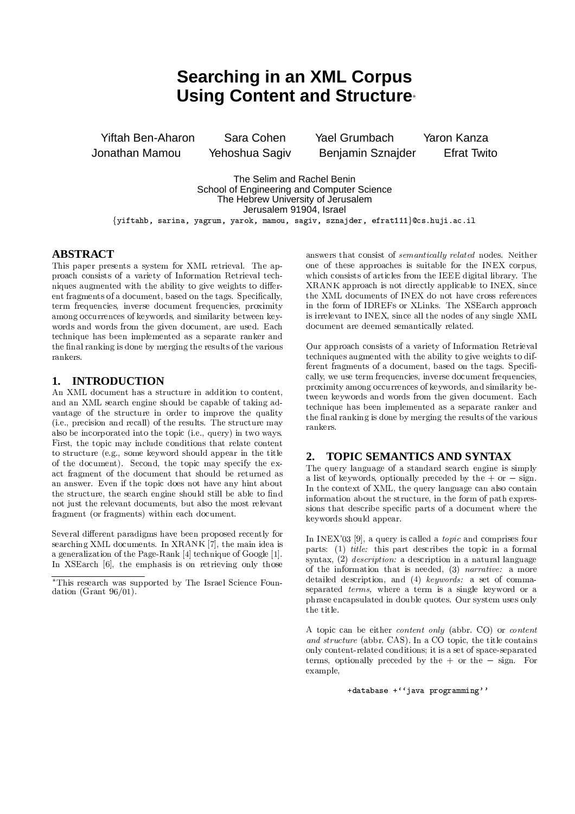# **Searching in an XML Corpus Using Content and Structure-**

**Yiftah Ben-Aharon** Sara Cohen **Yael Grumbach** Jonathan Mamou Benjamin Sznajder Yehoshua Sagiv

Yaron Kanza **Efrat Twito** 

The Selim and Rachel Benin School of Engineering and Computer Science The Hebrew University of Jerusalem Jerusalem 91904, Israel {yiftahb, sarina, yagrum, yarok, mamou, sagiv, sznajder, efrat111}@cs.huji.ac.il

# **ABSTRACT**

This paper presents a system for XML retrieval. The approach consists of a variety of Information Retrieval techniques augmented with the ability to give weights to different fragments of a document, based on the tags. Specifically, term frequencies, inverse document frequencies, proximity among occurrences of keywords, and similarity between keywords and words from the given document, are used. Each technique has been implemented as a separate ranker and the final ranking is done by merging the results of the various rankers

#### **INTRODUCTION** 1.

An XML document has a structure in addition to content, and an XML search engine should be capable of taking advantage of the structure in order to improve the quality (i.e., precision and recall) of the results. The structure may also be incorporated into the topic (i.e., query) in two ways. First, the topic may include conditions that relate content to structure (e.g., some keyword should appear in the title of the document). Second, the topic may specify the exact fragment of the document that should be returned as an answer. Even if the topic does not have any hint about the structure, the search engine should still be able to find not just the relevant documents, but also the most relevant fragment (or fragments) within each document.

Several different paradigms have been proposed recently for searching XML documents. In XRANK [7], the main idea is a generalization of the Page-Rank [4] technique of Google [1]. In XSE arch [6], the emphasis is on retrieving only those

answers that consist of *semantically related* nodes. Neither one of these approaches is suitable for the INEX corpus, which consists of articles from the IEEE digital library. The XRANK approach is not directly applicable to INEX, since the XML documents of INEX do not have cross references in the form of IDREFs or XLinks. The XSEarch approach is irrelevant to INEX, since all the nodes of any single XML document are deemed semantically related.

Our approach consists of a variety of Information Retrieval techniques augmented with the ability to give weights to different fragments of a document, based on the tags. Specifically, we use term frequencies, inverse document frequencies, proximity among occurrences of keywords, and similarity between keywords and words from the given document. Each technique has been implemented as a separate ranker and the final ranking is done by merging the results of the various rankers

#### **TOPIC SEMANTICS AND SYNTAX**  $\mathcal{D}_{\alpha}$

The query language of a standard search engine is simply a list of keywords, optionally preceded by the  $+$  or  $-$  sign. In the context of XML, the query language can also contain information about the structure, in the form of path expressions that describe specific parts of a document where the keywords should appear.

In INEX'03 [9], a query is called a *topic* and comprises four parts: (1) title: this part describes the topic in a formal syntax, (2) *description*: a description in a natural language of the information that is needed,  $(3)$  *narrative:* a more detailed description, and (4) keywords: a set of commaseparated *terms*, where a term is a single keyword or a phrase encapsulated in double quotes. Our system uses only the title.

A topic can be either *content only* (abbr. CO) or *content* and structure (abbr. CAS). In a CO topic, the title contains only content-related conditions; it is a set of space-separated terms, optionally preceded by the  $+$  or the  $-$  sign. For example.

```
+database +''java programming''
```
<sup>\*</sup>This research was supported by The Israel Science Foundation (Grant  $96/01$ ).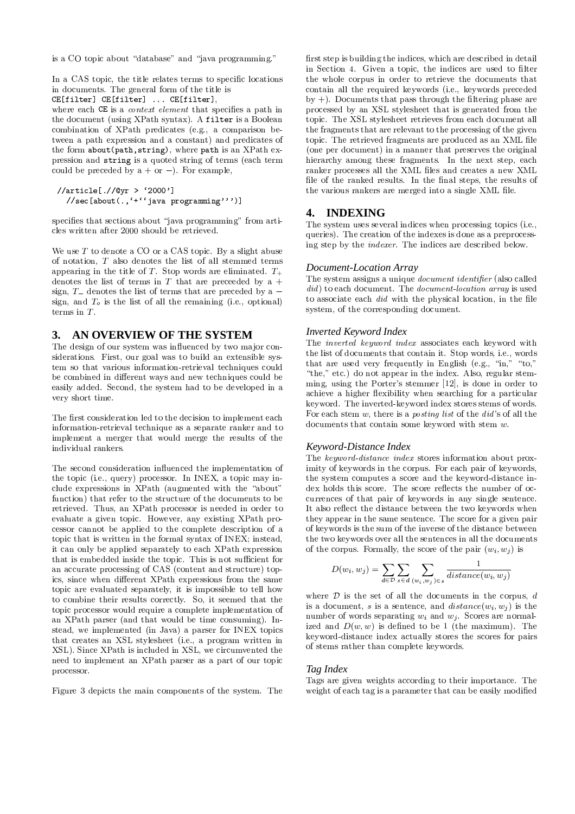is a CO topic about "database" and "java programming."

In a CAS topic, the title relates terms to specific locations in documents. The general form of the title is

CE[filter] CE[filter] ... CE[filter],

where each CE is a *context element* that specifies a path in the document (using XPath syntax). A filter is a Boolean combination of XPath predicates (e.g., a comparison between a path expression and a constant) and predicates of the form about (path, string), where path is an XPath expression and string is a quoted string of terms (each term could be preceded by  $a + or -$ ). For example,

```
//article [.//@yr > '2000']<br>//sec[about(., '+' 'java programming' ))]
```
specifies that sections about "java programming" from articles written after 2000 should be retrieved.

We use  $T$  to denote a CO or a CAS topic. By a slight abuse of notation,  $T$  also denotes the list of all stemmed terms appearing in the title of T. Stop words are eliminated.  $T_{+}$ denotes the list of terms in T that are preceeded by a  $+$ sign,  $T_{-}$  denotes the list of terms that are preceded by a  $$ sign, and  $T<sub>o</sub>$  is the list of all the remaining (i.e., optional) terms in  $T$ .

#### AN OVERVIEW OF THE SYSTEM 3.

The design of our system was influenced by two major considerations. First, our goal was to build an extensible system so that various information-retrieval techniques could be combined in different ways and new techniques could be easily added. Second, the system had to be developed in a very short time.

The first consideration led to the decision to implement each information-retrieval technique as a separate ranker and to implement a merger that would merge the results of the individual rankers.

The second consideration influenced the implementation of the topic (i.e., query) processor. In INEX, a topic may include expressions in XPath (augmented with the "about" function) that refer to the structure of the documents to be retrieved. Thus, an XPath processor is needed in order to evaluate a given topic. However, any existing XPath processor cannot be applied to the complete description of a topic that is written in the formal syntax of INEX; instead, it can only be applied separately to each XPath expression that is embedded inside the topic. This is not sufficient for an accurate processing of CAS (content and structure) topics, since when different XPath expressions from the same topic are evaluated separately, it is impossible to tell how to combine their results correctly. So, it seemed that the topic processor would require a complete implementation of an XPath parser (and that would be time consuming). Instead, we implemented (in Java) a parser for INEX topics that creates an XSL stylesheet (i.e., a program written in XSL). Since XPath is included in XSL, we circumvented the need to implement an XPath parser as a part of our topic processor.

Figure 3 depicts the main components of the system. The

first step is building the indices, which are described in detail in Section 4. Given a topic, the indices are used to filter the whole corpus in order to retrieve the documents that contain all the required keywords (i.e., keywords preceded by  $+)$ . Documents that pass through the filtering phase are processed by an XSL stylesheet that is generated from the topic. The XSL stylesheet retrieves from each document all the fragments that are relevant to the processing of the given topic. The retrieved fragments are produced as an XML file (one per document) in a manner that preserves the original hierarchy among these fragments. In the next step, each ranker processes all the XML files and creates a new XML file of the ranked results. In the final steps, the results of the various rankers are merged into a single XML file.

## 4. INDEXING

The system uses several indices when processing topics (i.e., queries). The creation of the indexes is done as a preprocessing step by the *indexer*. The indices are described below.

### Document-Location Array

The system assigns a unique *document identifier* (also called did) to each document. The document-location array is used to associate each *did* with the physical location, in the file system, of the corresponding document.

### **Inverted Keyword Index**

The *inverted keyword index* associates each keyword with the list of documents that contain it. Stop words, i.e., words that are used very frequently in English (e.g., "in,"  $-$ "to." "the," etc.) do not appear in the index. Also, regular stemming, using the Porter's stemmer [12], is done in order to achieve a higher flexibility when searching for a particular keyword. The inverted-keyword index stores stems of words. For each stem w, there is a *posting list* of the  $did$ 's of all the documents that contain some keyword with stem  $w$ .

### Keyword-Distance Index

The keyword-distance index stores information about proximity of keywords in the corpus. For each pair of keywords, the system computes a score and the keyword-distance index holds this score. The score reflects the number of occurrences of that pair of keywords in any single sentence. It also reflect the distance between the two keywords when they appear in the same sentence. The score for a given pair of keywords is the sum of the inverse of the distance between the two keywords over all the sentences in all the documents of the corpus. Formally, the score of the pair  $(w_i, w_j)$  is

$$
D(w_i, w_j) = \sum_{d \in \mathcal{D}} \sum_{s \in d} \sum_{(w_i, w_j) \in s} \frac{1}{distance(w_i, w_j)}
$$

where  $D$  is the set of all the documents in the corpus, d is a document, s is a sentence, and  $distance(w_i, w_j)$  is the number of words separating  $w_i$  and  $w_j$ . Scores are normalized and  $D(w, w)$  is defined to be 1 (the maximum). The keyword-distance index actually stores the scores for pairs of stems rather than complete keywords.

### Tag Index

Tags are given weights according to their importance. The weight of each tag is a parameter that can be easily modified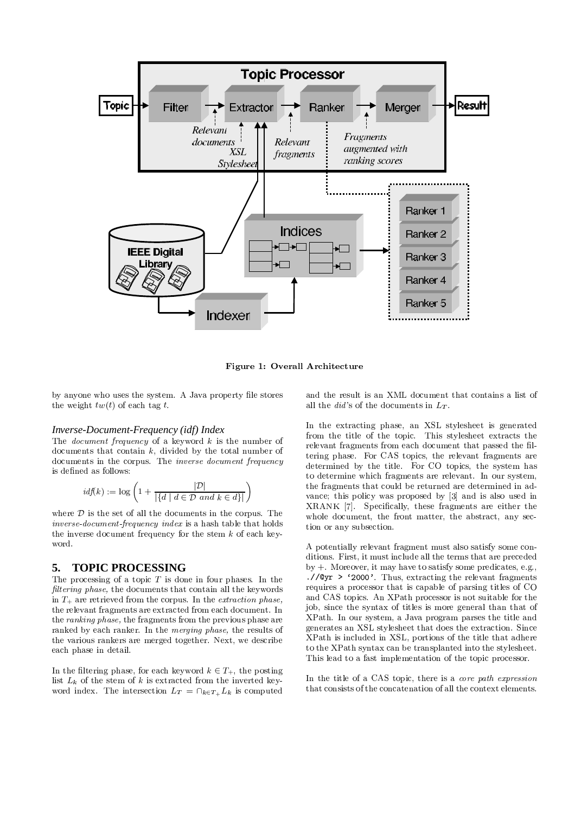

Figure 1: Overall Architecture

by anyone who uses the system. A Java property file stores the weight  $tw(t)$  of each tag t.

### Inverse-Document-Frequency (idf) Index

The *document frequency* of a keyword  $k$  is the number of documents that contain  $k$ , divided by the total number of documents in the corpus. The *inverse document frequency* is defined as follows:

$$
idf(k) := \log \left( 1 + \frac{|\mathcal{D}|}{|\{d \mid d \in \mathcal{D} \text{ and } k \in d\}|} \right)
$$

where  $D$  is the set of all the documents in the corpus. The inverse-document-frequency index is a hash table that holds the inverse document frequency for the stem  $k$  of each keyword.

#### **TOPIC PROCESSING** 5.

The processing of a topic  $T$  is done in four phases. In the *filtering phase*, the documents that contain all the keywords in  $T_{+}$  are retrieved from the corpus. In the *extraction phase*. the relevant fragments are extracted from each document. In the *ranking phase*, the fragments from the previous phase are ranked by each ranker. In the *merging phase*, the results of the various rankers are merged together. Next, we describe each phase in detail.

In the filtering phase, for each keyword  $k \in T_+$ , the posting list  $L_k$  of the stem of k is extracted from the inverted keyword index. The intersection  $L_T = \bigcap_{k \in T_+} L_k$  is computed

and the result is an XML document that contains a list of all the *did's* of the documents in  $L_T$ .

In the extracting phase, an XSL stylesheet is generated from the title of the topic. This stylesheet extracts the relevant fragments from each document that passed the filtering phase. For CAS topics, the relevant fragments are determined by the title. For CO topics, the system has to determine which fragments are relevant. In our system, the fragments that could be returned are determined in advance; this policy was proposed by [3] and is also used in XRANK [7]. Specifically, these fragments are either the whole document, the front matter, the abstract, any section or any subsection.

A potentially relevant fragment must also satisfy some conditions. First, it must include all the terms that are preceded  $by +$ . Moreover, it may have to satisfy some predicates, e.g., .// $Qyr$  > '2000'. Thus, extracting the relevant fragments requires a processor that is capable of parsing titles of CO and CAS topics. An XPath processor is not suitable for the job, since the syntax of titles is more general than that of XPath. In our system, a Java program parses the title and generates an XSL stylesheet that does the extraction. Since XPath is included in XSL, portions of the title that adhere to the XPath syntax can be transplanted into the stylesheet. This lead to a fast implementation of the topic processor.

In the title of a CAS topic, there is a *core path expression* that consists of the concatenation of all the context elements.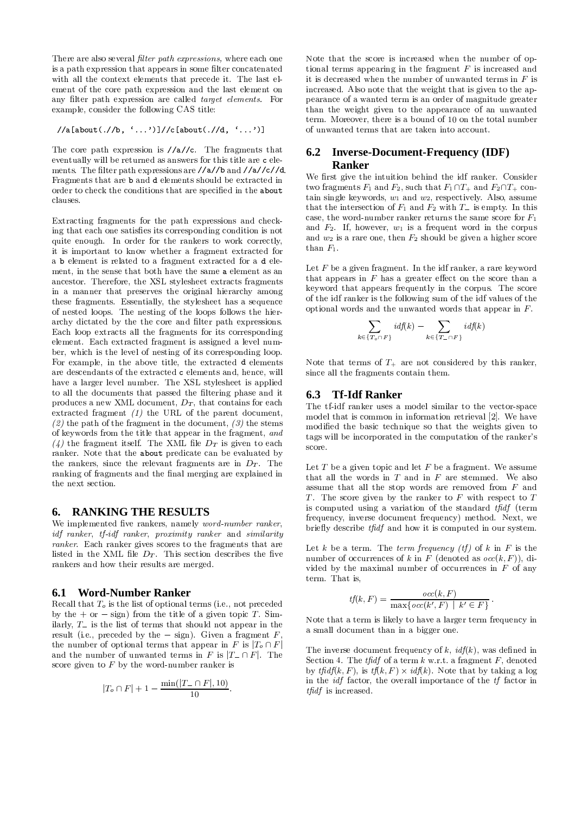There are also several *filter path expressions*, where each one is a path expression that appears in some filter concatenated with all the context elements that precede it. The last element of the core path expression and the last element on any filter path expression are called *target elements*. For example, consider the following CAS title:

$$
//a[about(.//b, '...')]//c[about(.//d, '...')]
$$

The core path expression is  $//a//c$ . The fragments that eventually will be returned as answers for this title are c elements. The filter path expressions are //a//b and //a//c//d. Fragments that are b and d elements should be extracted in order to check the conditions that are specified in the about clauses

Extracting fragments for the path expressions and checking that each one satisfies its corresponding condition is not quite enough. In order for the rankers to work correctly, it is important to know whether a fragment extracted for a b element is related to a fragment extracted for a d element, in the sense that both have the same a element as an ancestor. Therefore, the XSL stylesheet extracts fragments in a manner that preserves the original hierarchy among these fragments. Essentially, the stylesheet has a sequence of nested loops. The nesting of the loops follows the hierarchy dictated by the the core and filter path expressions. Each loop extracts all the fragments for its corresponding element. Each extracted fragment is assigned a level number, which is the level of nesting of its corresponding loop. For example, in the above title, the extracted d elements are descendants of the extracted c elements and, hence, will have a larger level number. The XSL stylesheet is applied to all the documents that passed the filtering phase and it produces a new XML document,  $D_T$ , that contains for each extracted fragment  $(1)$  the URL of the parent document, (2) the path of the fragment in the document, (3) the stems of keywords from the title that appear in the fragment, and (4) the fragment itself. The XML file  $D_T$  is given to each ranker. Note that the about predicate can be evaluated by the rankers, since the relevant fragments are in  $D_T$ . The ranking of fragments and the final merging are explained in the next section

#### **RANKING THE RESULTS** 6.

We implemented five rankers, namely *word-number ranker*, idf ranker, tf-idf ranker, proximity ranker and similarity ranker. Each ranker gives scores to the fragments that are listed in the XML file  $D_T$ . This section describes the five rankers and how their results are merged.

#### **Word-Number Ranker** 6.1

Recall that  $T<sub>o</sub>$  is the list of optional terms (i.e., not preceded by the  $+$  or  $-$  sign) from the title of a given topic T. Similarly,  $T_{-}$  is the list of terms that should not appear in the result (i.e., preceded by the  $-$  sign). Given a fragment  $F$ the number of optional terms that appear in F is  $|T_o \cap F|$ and the number of unwanted terms in F is  $|T - \cap F|$ . The score given to  $F$  by the word-number ranker is

$$
|T_o \cap F| + 1 - \frac{\min(|T_-\cap F|, 10)}{10}
$$

Note that the score is increased when the number of optional terms appearing in the fragment  $F$  is increased and it is decreased when the number of unwanted terms in  $F$  is increased. Also note that the weight that is given to the appearance of a wanted term is an order of magnitude greater than the weight given to the appearance of an unwanted term. Moreover, there is a bound of 10 on the total number of unwanted terms that are taken into account.

#### 6.2 **Inverse-Document-Frequency (IDF)** Ranker

We first give the intuition behind the idf ranker. Consider two fragments  $F_1$  and  $F_2$ , such that  $F_1 \cap T_+$  and  $F_2 \cap T_+$  contain single keywords,  $w_1$  and  $w_2$ , respectively. Also, assume that the intersection of  $F_1$  and  $F_2$  with  $T_$  is empty. In this case, the word-number ranker returns the same score for  $F_1$ and  $F_2$ . If, however,  $w_1$  is a frequent word in the corpus and  $w_2$  is a rare one, then  $F_2$  should be given a higher score than  $F_1$ .

Let  $F$  be a given fragment. In the idf ranker, a rare keyword that appears in  $F$  has a greater effect on the score than a keyword that appears frequently in the corpus. The score of the idf ranker is the following sum of the idf values of the optional words and the unwanted words that appear in  $F$ .

$$
\sum_{k \in \{T_o \cap F\}} idf(k) - \sum_{k \in \{T_o \cap F\}} idf(k)
$$

Note that terms of  $T_+$  are not considered by this ranker, since all the fragments contain them.

#### **Tf-Idf Ranker** 6.3

The tf-idf ranker uses a model similar to the vector-space model that is common in information retrieval [2]. We have modified the basic technique so that the weights given to tags will be incorporated in the computation of the ranker's score.

Let  $T$  be a given topic and let  $F$  be a fragment. We assume that all the words in  $T$  and in  $F$  are stemmed. We also assume that all the stop words are removed from  $F$  and T. The score given by the ranker to  $F$  with respect to  $T$ is computed using a variation of the standard  $tf\hat{f}$  (term frequency, inverse document frequency) method. Next, we briefly describe tfidf and how it is computed in our system.

Let k be a term. The term frequency (tf) of k in F is the number of occurrences of k in F (denoted as  $occ(k, F)$ ), divided by the maximal number of occurrences in  $F$  of any term. That is.

$$
tf(k, F) = \frac{occ(k, F)}{\max\{occ(k', F) \mid k' \in F\}}
$$

Note that a term is likely to have a larger term frequency in a small document than in a bigger one.

The inverse document frequency of  $k$ ,  $\mathit{idf}(k)$ , was defined in Section 4. The *tfidf* of a term  $k$  w.r.t. a fragment  $F$ , denoted by the  $tf\left( k,F\right)$ , is  $tf(k,F)\times idf(k)$ . Note that by taking a log in the *idf* factor, the overall importance of the *tf* factor in  $tfidf$  is increased.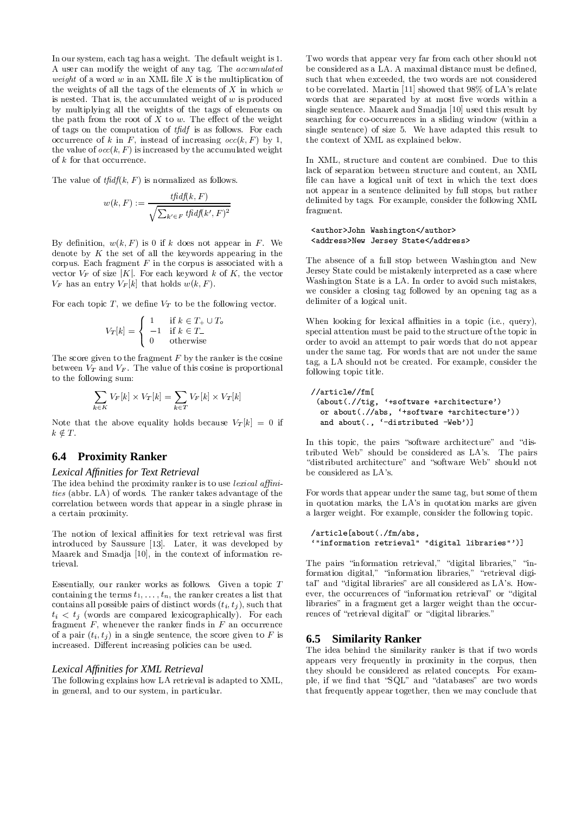In our system, each tag has a weight. The default weight is 1. A user can modify the weight of any tag. The accumulated *weight* of a word w in an XML file  $X$  is the multiplication of the weights of all the tags of the elements of  $X$  in which  $w$ is nested. That is, the accumulated weight of  $w$  is produced by multiplying all the weights of the tags of elements on the path from the root of  $X$  to  $w$ . The effect of the weight of tags on the computation of *tfidf* is as follows. For each occurrence of k in F, instead of increasing  $occ(k, F)$  by 1, the value of  $occ(k, F)$  is increased by the accumulated weight of  $k$  for that occurrence.

The value of  $tfidf(k, F)$  is normalized as follows.

$$
w(k, F) := \frac{tfidf(k, F)}{\sqrt{\sum_{k' \in F} tfidf(k', F)^2}}
$$

By definition,  $w(k, F)$  is 0 if k does not appear in F. We denote by  $K$  the set of all the keywords appearing in the corpus. Each fragment  $F$  in the corpus is associated with a vector  $V_F$  of size |K|. For each keyword k of K, the vector  $V_F$  has an entry  $V_F[k]$  that holds  $w(k, F)$ .

For each topic T, we define  $V_T$  to be the following vector.

$$
V_T[k] = \begin{cases} 1 & \text{if } k \in T_+ \cup T_o \\ -1 & \text{if } k \in T_- \\ 0 & \text{otherwise} \end{cases}
$$

The score given to the fragment  $F$  by the ranker is the cosine between  $V_T$  and  $V_F$ . The value of this cosine is proportional to the following sum:

$$
\sum_{k \in K} V_F[k] \times V_T[k] = \sum_{k \in T} V_F[k] \times V_T[k]
$$

Note that the above equality holds because  $V_T[k] = 0$  if  $k \notin T$ .

# **6.4 Proximity Ranker**

### Lexical Affinities for Text Retrieval

The idea behind the proximity ranker is to use *lexical* affinities (abbr. LA) of words. The ranker takes advantage of the correlation between words that appear in a single phrase in a certain proximity.

The notion of lexical affinities for text retrieval was first introduced by Saussure [13]. Later, it was developed by Maarek and Smadja [10], in the context of information retrieval.

Essentially, our ranker works as follows. Given a topic  $T$ containing the terms  $t_1, \ldots, t_n$ , the ranker creates a list that contains all possible pairs of distinct words  $(t_i, t_j)$ , such that  $t_i < t_j$  (words are compared lexicographically). For each fragment  $F$ , whenever the ranker finds in  $F$  an occurrence of a pair  $(t_i, t_j)$  in a single sentence, the score given to F is increased. Different increasing policies can be used.

### Lexical Affinities for XML Retrieval

The following explains how LA retrieval is adapted to XML, in general, and to our system, in particular.

Two words that appear very far from each other should not be considered as a LA. A maximal distance must be defined, such that when exceeded, the two words are not considered to be correlated. Martin [11] showed that 98% of LA's relate words that are separated by at most five words within a single sentence. Maarek and Smadja [10] used this result by searching for co-occurrences in a sliding window (within a single sentence) of size 5. We have adapted this result to the context of XML as explained below.

In XML, structure and content are combined. Due to this lack of separation between structure and content, an XML file can have a logical unit of text in which the text does not appear in a sentence delimited by full stops, but rather delimited by tags. For example, consider the following XML fragment.

### <author>John Washington</author> <address>New Jersey State</address>

The absence of a full stop between Washington and New Jersey State could be mistakenly interpreted as a case where Washington State is a LA. In order to avoid such mistakes, we consider a closing tag followed by an opening tag as a delimiter of a logical unit.

When looking for lexical affinities in a topic (i.e., query), special attention must be paid to the structure of the topic in order to avoid an attempt to pair words that do not appear under the same tag. For words that are not under the same tag, a LA should not be created. For example, consider the following topic title.

```
//article//fm[
 (about/.)/tig, '+software +architecture')
  or about(.//abs, '+software +architecture'))
  and about(., '-distributed -Web')]
```
In this topic, the pairs "software architecture" and "distributed Web" should be considered as LA's. The pairs "distributed architecture" and "software Web" should not be considered as LA's.

For words that appear under the same tag, but some of them in quotation marks, the LA's in quotation marks are given a larger weight. For example, consider the following topic.

```
/article[about(./fm/abs,
'"information retrieval" "digital libraries"')]
```
The pairs "information retrieval," "digital libraries," "information digital," "information libraries," "retrieval digital" and "digital libraries" are all considered as LA's. However, the occurrences of "information retrieval" or "digital libraries" in a fragment get a larger weight than the occurrences of "retrieval digital" or "digital libraries."

### **6.5 Similarity Ranker**

The idea behind the similarity ranker is that if two words appears very frequently in proximity in the corpus, then they should be considered as related concepts. For example, if we find that "SQL" and "databases" are two words that frequently appear together, then we may conclude that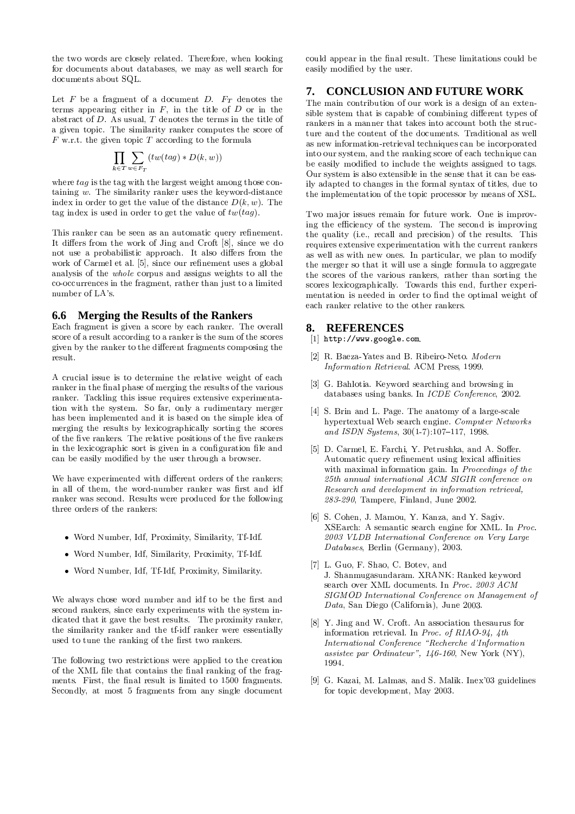the two words are closely related. Therefore, when looking for documents about databases, we may as well search for documents about SQL.

Let  $F$  be a fragment of a document  $D$ .  $F_T$  denotes the terms appearing either in  $F$ , in the title of  $D$  or in the abstract of  $D$ . As usual,  $T$  denotes the terms in the title of a given topic. The similarity ranker computes the score of  $F$  w.r.t. the given topic  $T$  according to the formula

$$
\prod_{k \in T} \sum_{w \in F_T} (tw(tag) * D(k, w))
$$

where  $taq$  is the tag with the largest weight among those containing  $w$ . The similarity ranker uses the keyword-distance index in order to get the value of the distance  $D(k, w)$ . The tag index is used in order to get the value of  $tw(tag)$ .

This ranker can be seen as an automatic query refinement. It differs from the work of Jing and Croft [8], since we do not use a probabilistic approach. It also differs from the work of Carmel et al. [5], since our refinement uses a global analysis of the *whole* corpus and assigns weights to all the co-occurrences in the fragment, rather than just to a limited number of LA's.

### 6.6 Merging the Results of the Rankers

Each fragment is given a score by each ranker. The overall score of a result according to a ranker is the sum of the scores given by the ranker to the different fragments composing the result.

A crucial issue is to determine the relative weight of each ranker in the final phase of merging the results of the various ranker. Tackling this issue requires extensive experimentation with the system. So far, only a rudimentary merger has been implemented and it is based on the simple idea of merging the results by lexicographically sorting the scores of the five rankers. The relative positions of the five rankers in the lexicographic sort is given in a configuration file and can be easily modified by the user through a browser.

We have experimented with different orders of the rankers: in all of them, the word-number ranker was first and idf ranker was second. Results were produced for the following three orders of the rankers:

- Word Number, Idf. Proximity, Similarity, Tf-Idf.
- Word Number, Idf, Similarity, Proximity, Tf-Idf.
- Word Number, Idf, Tf-Idf, Proximity, Similarity.

We always chose word number and idf to be the first and second rankers, since early experiments with the system indicated that it gave the best results. The proximity ranker, the similarity ranker and the tf-idf ranker were essentially used to tune the ranking of the first two rankers.

The following two restrictions were applied to the creation of the XML file that contains the final ranking of the fragments. First, the final result is limited to 1500 fragments. Secondly, at most 5 fragments from any single document

could appear in the final result. These limitations could be easily modified by the user.

#### **CONCLUSION AND FUTURE WORK** 7.

The main contribution of our work is a design of an extensible system that is capable of combining different types of rankers in a manner that takes into account both the structure and the content of the documents. Traditional as well as new information-retrieval techniques can be incorporated into our system, and the ranking score of each technique can be easily modified to include the weights assigned to tags. Our system is also extensible in the sense that it can be easily adapted to changes in the formal syntax of titles, due to the implementation of the topic processor by means of XSL.

Two major issues remain for future work. One is improving the efficiency of the system. The second is improving the quality (i.e., recall and precision) of the results. This requires extensive experimentation with the current rankers as well as with new ones. In particular, we plan to modify the merger so that it will use a single formula to aggregate the scores of the various rankers, rather than sorting the scores lexicographically. Towards this end, further experimentation is needed in order to find the optimal weight of each ranker relative to the other rankers.

### 8. REFERENCES

- $[1]$  http://www.google.com.
- [2] R. Baeza-Yates and B. Ribeiro-Neto. Modern Information Retrieval. ACM Press, 1999.
- [3] G. Bahlotia. Keyword searching and browsing in databases using banks. In ICDE Conference, 2002.
- [4] S. Brin and L. Page. The anatomy of a large-scale hypertextual Web search engine. Computer Networks and ISDN Systems,  $30(1-7):107-117$ , 1998.
- [5] D. Carmel, E. Farchi, Y. Petrushka, and A. Soffer. Automatic query refinement using lexical affinities with maximal information gain. In Proceedings of the 25th annual international ACM SIGIR conference on Research and development in information retrieval, 283-290. Tampere. Finland. June 2002.
- [6] S. Cohen, J. Mamou, Y. Kanza, and Y. Sagiv. XSEarch: A semantic search engine for XML. In Proc. 2003 VLDB International Conference on Very Large  $Database$ , Berlin (Germany), 2003.
- [7] L. Guo, F. Shao, C. Botev, and J. Shanmugasundaram. XRANK: Ranked keyword search over XML documents. In Proc. 2003 ACM SIGMOD International Conference on Management of Data, San Diego (California), June 2003.
- [8] Y. Jing and W. Croft. An association thesaurus for information retrieval. In Proc. of RIAO-94, 4th International Conference "Recherche d'Information assistee par Ordinateur",  $146-160$ , New York (NY), 1994
- [9] G. Kazai, M. Lalmas, and S. Malik. Inex'03 guidelines for topic development, May 2003.